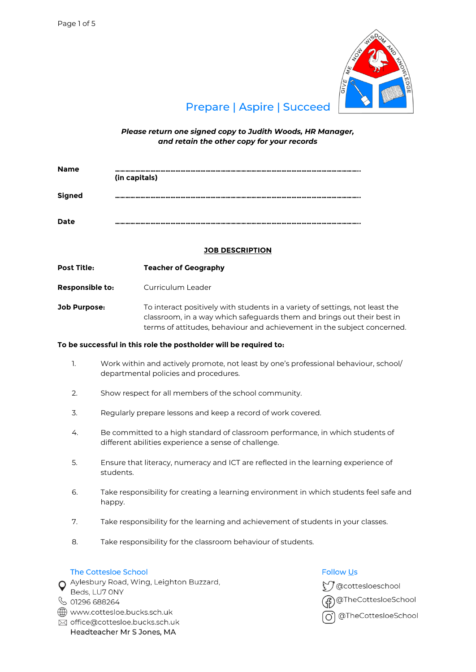

# **Prepare | Aspire | Succeed**

*Please return one signed copy to Judith Woods, HR Manager, and retain the other copy for your records*

| <b>Name</b>   | -----------------------------------<br>(in capitals) |
|---------------|------------------------------------------------------|
| <b>Signed</b> | ---------------                                      |
| <b>Date</b>   | ************************                             |

# **JOB DESCRIPTION**

**Post Title: Teacher of Geography**

**Responsible to:** Curriculum Leader

**Job Purpose:** To interact positively with students in a variety of settings, not least the classroom, in a way which safeguards them and brings out their best in terms of attitudes, behaviour and achievement in the subject concerned.

### **To be successful in this role the postholder will be required to:**

- 1. Work within and actively promote, not least by one's professional behaviour, school/ departmental policies and procedures.
- 2. Show respect for all members of the school community.
- 3. Regularly prepare lessons and keep a record of work covered.
- 4. Be committed to a high standard of classroom performance, in which students of different abilities experience a sense of challenge.
- 5. Ensure that literacy, numeracy and ICT are reflected in the learning experience of students.
- 6. Take responsibility for creating a learning environment in which students feel safe and happy.
- 7. Take responsibility for the learning and achievement of students in your classes.
- 8. Take responsibility for the classroom behaviour of students.

## The Cottesloe School

O Aylesbury Road, Wing, Leighton Buzzard,

- Beds, LU7 ONY
- ↓ 01296 688264
- www.cottesloe.bucks.sch.uk
- ⊠ office@cottesloe.bucks.sch.uk Headteacher Mr S Jones, MA

# **Follow Us**

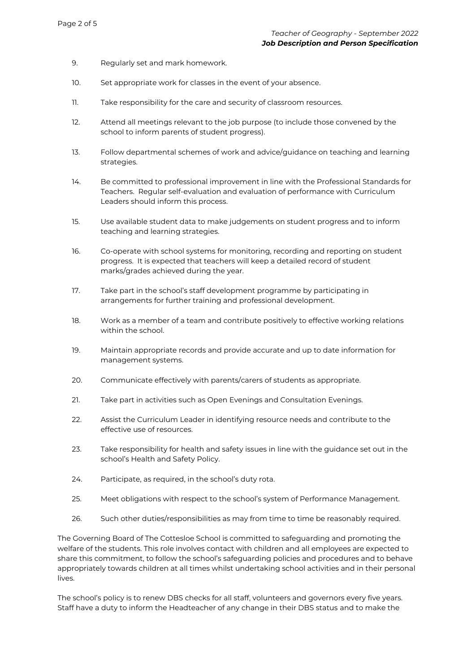- 9. Regularly set and mark homework.
- 10. Set appropriate work for classes in the event of your absence.
- 11. Take responsibility for the care and security of classroom resources.
- 12. Attend all meetings relevant to the job purpose (to include those convened by the school to inform parents of student progress).
- 13. Follow departmental schemes of work and advice/guidance on teaching and learning strategies.
- 14. Be committed to professional improvement in line with the Professional Standards for Teachers. Regular self-evaluation and evaluation of performance with Curriculum Leaders should inform this process.
- 15. Use available student data to make judgements on student progress and to inform teaching and learning strategies.
- 16. Co-operate with school systems for monitoring, recording and reporting on student progress. It is expected that teachers will keep a detailed record of student marks/grades achieved during the year.
- 17. Take part in the school's staff development programme by participating in arrangements for further training and professional development.
- 18. Work as a member of a team and contribute positively to effective working relations within the school.
- 19. Maintain appropriate records and provide accurate and up to date information for management systems.
- 20. Communicate effectively with parents/carers of students as appropriate.
- 21. Take part in activities such as Open Evenings and Consultation Evenings.
- 22. Assist the Curriculum Leader in identifying resource needs and contribute to the effective use of resources.
- 23. Take responsibility for health and safety issues in line with the guidance set out in the school's Health and Safety Policy.
- 24. Participate, as required, in the school's duty rota.
- 25. Meet obligations with respect to the school's system of Performance Management.
- 26. Such other duties/responsibilities as may from time to time be reasonably required.

The Governing Board of The Cottesloe School is committed to safeguarding and promoting the welfare of the students. This role involves contact with children and all employees are expected to share this commitment, to follow the school's safeguarding policies and procedures and to behave appropriately towards children at all times whilst undertaking school activities and in their personal lives.

The school's policy is to renew DBS checks for all staff, volunteers and governors every five years. Staff have a duty to inform the Headteacher of any change in their DBS status and to make the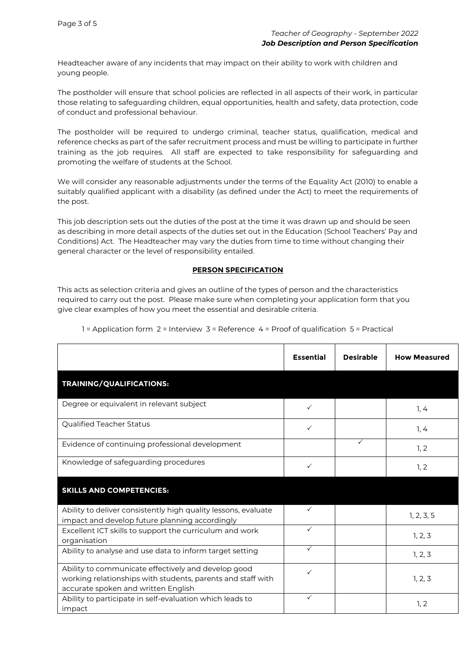Headteacher aware of any incidents that may impact on their ability to work with children and young people.

The postholder will ensure that school policies are reflected in all aspects of their work, in particular those relating to safeguarding children, equal opportunities, health and safety, data protection, code of conduct and professional behaviour.

The postholder will be required to undergo criminal, teacher status, qualification, medical and reference checks as part of the safer recruitment process and must be willing to participate in further training as the job requires. All staff are expected to take responsibility for safeguarding and promoting the welfare of students at the School.

We will consider any reasonable adjustments under the terms of the Equality Act (2010) to enable a suitably qualified applicant with a disability (as defined under the Act) to meet the requirements of the post.

This job description sets out the duties of the post at the time it was drawn up and should be seen as describing in more detail aspects of the duties set out in the Education (School Teachers' Pay and Conditions) Act. The Headteacher may vary the duties from time to time without changing their general character or the level of responsibility entailed.

## **PERSON SPECIFICATION**

This acts as selection criteria and gives an outline of the types of person and the characteristics required to carry out the post. Please make sure when completing your application form that you give clear examples of how you meet the essential and desirable criteria.

|                                                                                                                                                           | <b>Essential</b> | <b>Desirable</b> | <b>How Measured</b> |
|-----------------------------------------------------------------------------------------------------------------------------------------------------------|------------------|------------------|---------------------|
| TRAINING/QUALIFICATIONS:                                                                                                                                  |                  |                  |                     |
| Degree or equivalent in relevant subject                                                                                                                  | ✓                |                  | 1, 4                |
| Qualified Teacher Status                                                                                                                                  | $\checkmark$     |                  | 1, 4                |
| Evidence of continuing professional development                                                                                                           |                  | ✓                | 1, 2                |
| Knowledge of safeguarding procedures                                                                                                                      | ✓                |                  | 1, 2                |
| <b>SKILLS AND COMPETENCIES:</b>                                                                                                                           |                  |                  |                     |
| Ability to deliver consistently high quality lessons, evaluate<br>impact and develop future planning accordingly                                          | ✓                |                  | 1, 2, 3, 5          |
| Excellent ICT skills to support the curriculum and work<br>organisation                                                                                   | ✓                |                  | 1, 2, 3             |
| Ability to analyse and use data to inform target setting                                                                                                  | $\checkmark$     |                  | 1, 2, 3             |
| Ability to communicate effectively and develop good<br>working relationships with students, parents and staff with<br>accurate spoken and written English | ✓                |                  | 1, 2, 3             |
| Ability to participate in self-evaluation which leads to<br>impact                                                                                        | $\checkmark$     |                  | 1, 2                |

1 = Application form 2 = Interview 3 = Reference 4 = Proof of qualification 5 = Practical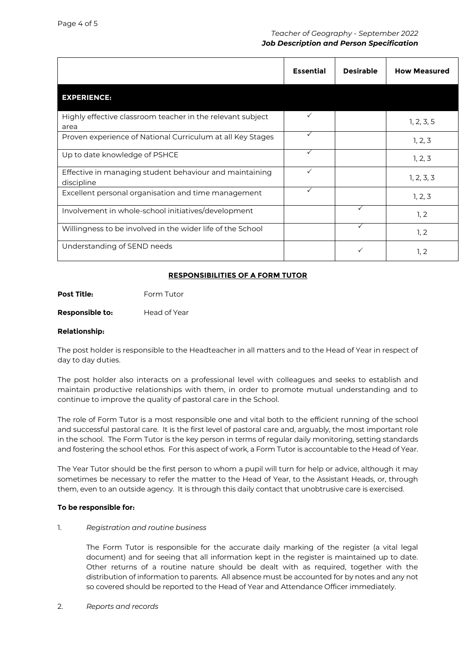## *Teacher of Geography - September 2022 Job Description and Person Specification*

|                                                                       | <b>Essential</b> | <b>Desirable</b> | <b>How Measured</b> |
|-----------------------------------------------------------------------|------------------|------------------|---------------------|
| <b>EXPERIENCE:</b>                                                    |                  |                  |                     |
| Highly effective classroom teacher in the relevant subject<br>area    | ✓                |                  | 1, 2, 3, 5          |
| Proven experience of National Curriculum at all Key Stages            |                  |                  | 1, 2, 3             |
| Up to date knowledge of PSHCE                                         | $\checkmark$     |                  | 1, 2, 3             |
| Effective in managing student behaviour and maintaining<br>discipline | $\checkmark$     |                  | 1, 2, 3, 3          |
| Excellent personal organisation and time management                   | $\checkmark$     |                  | 1, 2, 3             |
| Involvement in whole-school initiatives/development                   |                  | ✓                | 1, 2                |
| Willingness to be involved in the wider life of the School            |                  | ✓                | 1, 2                |
| Understanding of SEND needs                                           |                  | ✓                | 1, 2                |

## **RESPONSIBILITIES OF A FORM TUTOR**

**Post Title:** Form Tutor

**Responsible to:** Head of Year

## **Relationship:**

The post holder is responsible to the Headteacher in all matters and to the Head of Year in respect of day to day duties.

The post holder also interacts on a professional level with colleagues and seeks to establish and maintain productive relationships with them, in order to promote mutual understanding and to continue to improve the quality of pastoral care in the School.

The role of Form Tutor is a most responsible one and vital both to the efficient running of the school and successful pastoral care. It is the first level of pastoral care and, arguably, the most important role in the school. The Form Tutor is the key person in terms of regular daily monitoring, setting standards and fostering the school ethos. For this aspect of work, a Form Tutor is accountable to the Head of Year.

The Year Tutor should be the first person to whom a pupil will turn for help or advice, although it may sometimes be necessary to refer the matter to the Head of Year, to the Assistant Heads, or, through them, even to an outside agency. It is through this daily contact that unobtrusive care is exercised.

### **To be responsible for:**

### 1. *Registration and routine business*

The Form Tutor is responsible for the accurate daily marking of the register (a vital legal document) and for seeing that all information kept in the register is maintained up to date. Other returns of a routine nature should be dealt with as required, together with the distribution of information to parents. All absence must be accounted for by notes and any not so covered should be reported to the Head of Year and Attendance Officer immediately.

2. *Reports and records*